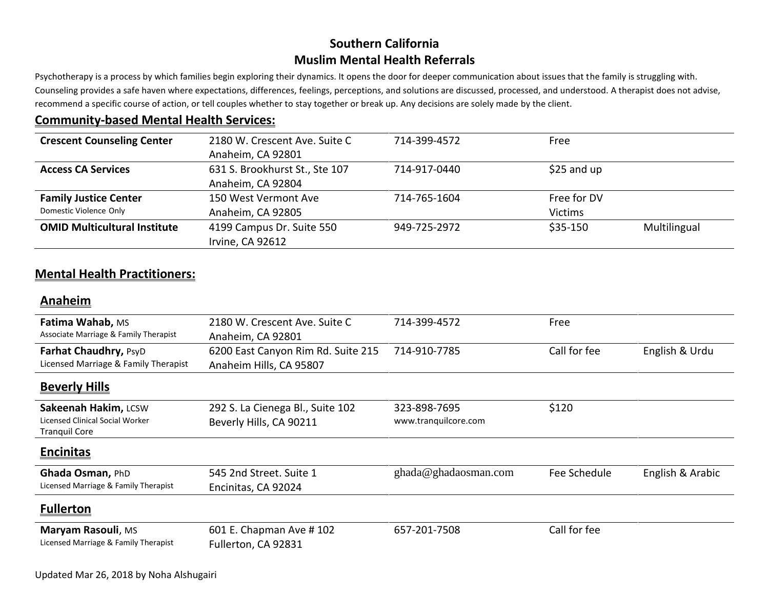## **Southern California Muslim Mental Health Referrals**

Psychotherapy is a process by which families begin exploring their dynamics. It opens the door for deeper communication about issues that the family is struggling with. Counseling provides a safe haven where expectations, differences, feelings, perceptions, and solutions are discussed, processed, and understood. A therapist does not advise, recommend a specific course of action, or tell couples whether to stay together or break up. Any decisions are solely made by the client.

## **Community-based Mental Health Services:**

| <b>Crescent Counseling Center</b>                      | 2180 W. Crescent Ave. Suite C<br>Anaheim, CA 92801  | 714-399-4572 | Free                          |              |
|--------------------------------------------------------|-----------------------------------------------------|--------------|-------------------------------|--------------|
| <b>Access CA Services</b>                              | 631 S. Brookhurst St., Ste 107<br>Anaheim, CA 92804 | 714-917-0440 | $$25$ and up                  |              |
| <b>Family Justice Center</b><br>Domestic Violence Only | 150 West Vermont Ave<br>Anaheim, CA 92805           | 714-765-1604 | Free for DV<br><b>Victims</b> |              |
| <b>OMID Multicultural Institute</b>                    | 4199 Campus Dr. Suite 550<br>Irvine, CA 92612       | 949-725-2972 | $$35-150$                     | Multilingual |

## **Mental Health Practitioners:**

### **Anaheim**

| Fatima Wahab, MS<br>Associate Marriage & Family Therapist                       | 2180 W. Crescent Ave. Suite C<br>Anaheim, CA 92801            | 714-399-4572                         | Free         |                  |
|---------------------------------------------------------------------------------|---------------------------------------------------------------|--------------------------------------|--------------|------------------|
| Farhat Chaudhry, PsyD<br>Licensed Marriage & Family Therapist                   | 6200 East Canyon Rim Rd. Suite 215<br>Anaheim Hills, CA 95807 | 714-910-7785                         | Call for fee | English & Urdu   |
| <b>Beverly Hills</b>                                                            |                                                               |                                      |              |                  |
| Sakeenah Hakim, LCSW<br>Licensed Clinical Social Worker<br><b>Tranquil Core</b> | 292 S. La Cienega Bl., Suite 102<br>Beverly Hills, CA 90211   | 323-898-7695<br>www.tranquilcore.com | \$120        |                  |
| <b>Encinitas</b>                                                                |                                                               |                                      |              |                  |
| Ghada Osman, PhD<br>Licensed Marriage & Family Therapist                        | 545 2nd Street. Suite 1<br>Encinitas, CA 92024                | ghada@ghadaosman.com                 | Fee Schedule | English & Arabic |
| <b>Fullerton</b>                                                                |                                                               |                                      |              |                  |
| Maryam Rasouli, MS<br>Licensed Marriage & Family Therapist                      | 601 E. Chapman Ave #102<br>Fullerton, CA 92831                | 657-201-7508                         | Call for fee |                  |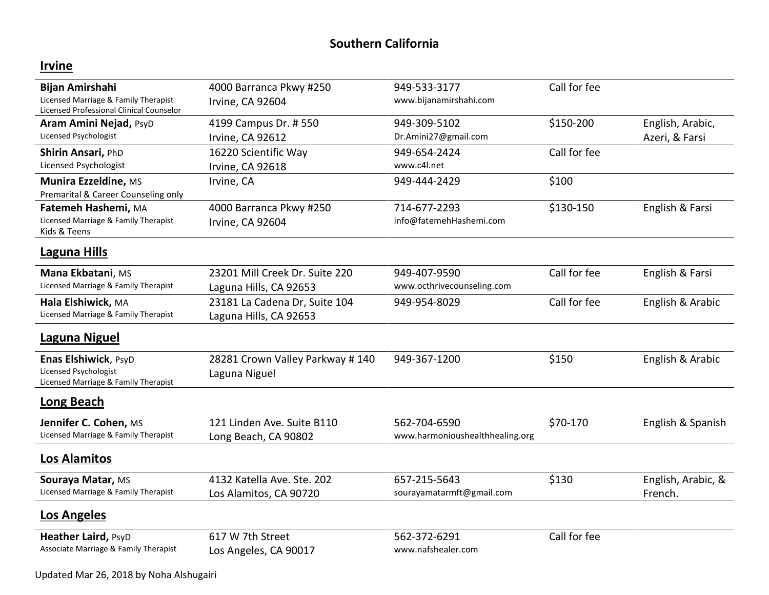## **Southern California**

# **Irvine**

| <b>Bijan Amirshahi</b><br>Licensed Marriage & Family Therapist<br>Licensed Professional Clinical Counselor | 4000 Barranca Pkwy #250<br>Irvine, CA 92604              | 949-533-3177<br>www.bijanamirshahi.com          | Call for fee |                                    |
|------------------------------------------------------------------------------------------------------------|----------------------------------------------------------|-------------------------------------------------|--------------|------------------------------------|
| <b>Aram Amini Nejad, PsyD</b><br>Licensed Psychologist                                                     | 4199 Campus Dr. # 550<br>Irvine, CA 92612                | 949-309-5102<br>Dr.Amini27@gmail.com            | \$150-200    | English, Arabic,<br>Azeri, & Farsi |
| Shirin Ansari, PhD<br>Licensed Psychologist                                                                | 16220 Scientific Way<br>Irvine, CA 92618                 | 949-654-2424<br>www.c4l.net                     | Call for fee |                                    |
| Munira Ezzeldine, MS<br>Premarital & Career Counseling only                                                | Irvine, CA                                               | 949-444-2429                                    | \$100        |                                    |
| Fatemeh Hashemi, MA<br>Licensed Marriage & Family Therapist<br>Kids & Teens                                | 4000 Barranca Pkwy #250<br>Irvine, CA 92604              | 714-677-2293<br>info@fatemehHashemi.com         | \$130-150    | English & Farsi                    |
| <b>Laguna Hills</b>                                                                                        |                                                          |                                                 |              |                                    |
| Mana Ekbatani, MS<br>Licensed Marriage & Family Therapist                                                  | 23201 Mill Creek Dr. Suite 220<br>Laguna Hills, CA 92653 | 949-407-9590<br>www.octhrivecounseling.com      | Call for fee | English & Farsi                    |
| Hala Elshiwick, MA<br>Licensed Marriage & Family Therapist                                                 | 23181 La Cadena Dr, Suite 104<br>Laguna Hills, CA 92653  | 949-954-8029                                    | Call for fee | English & Arabic                   |
| <b>Laguna Niguel</b>                                                                                       |                                                          |                                                 |              |                                    |
| Enas Elshiwick, PsyD<br><b>Licensed Psychologist</b><br>Licensed Marriage & Family Therapist               | 28281 Crown Valley Parkway #140<br>Laguna Niguel         | 949-367-1200                                    | \$150        | English & Arabic                   |
| <b>Long Beach</b>                                                                                          |                                                          |                                                 |              |                                    |
| Jennifer C. Cohen, MS<br>Licensed Marriage & Family Therapist                                              | 121 Linden Ave. Suite B110<br>Long Beach, CA 90802       | 562-704-6590<br>www.harmonioushealthhealing.org | \$70-170     | English & Spanish                  |
| <b>Los Alamitos</b>                                                                                        |                                                          |                                                 |              |                                    |
| Souraya Matar, MS<br>Licensed Marriage & Family Therapist                                                  | 4132 Katella Ave. Ste. 202<br>Los Alamitos, CA 90720     | 657-215-5643<br>sourayamatarmft@gmail.com       | \$130        | English, Arabic, &<br>French.      |
| <b>Los Angeles</b>                                                                                         |                                                          |                                                 |              |                                    |
| Heather Laird, PsyD<br>Associate Marriage & Family Therapist                                               | 617 W 7th Street<br>Los Angeles, CA 90017                | 562-372-6291<br>www.nafshealer.com              | Call for fee |                                    |

Updated Mar 26, 2018 by Noha Alshugairi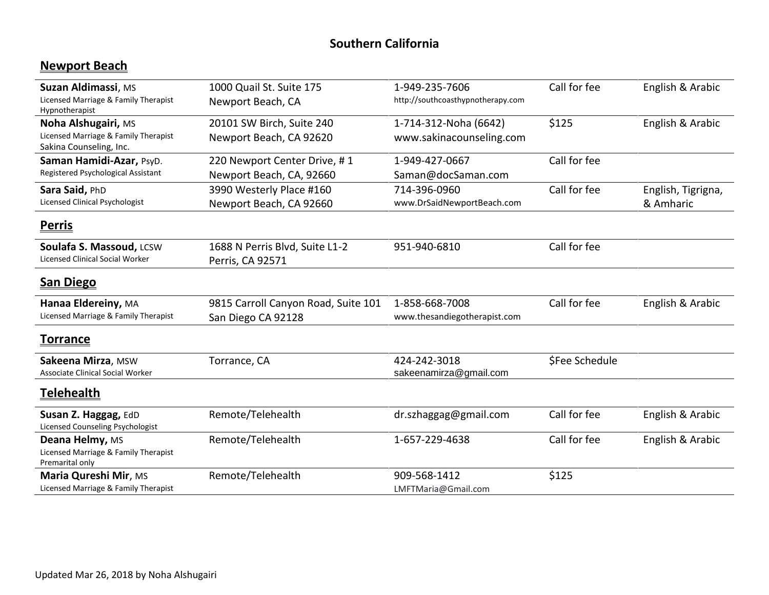## **Southern California**

# **Newport Beach**

| Suzan Aldimassi, MS<br>Licensed Marriage & Family Therapist<br>Hypnotherapist          | 1000 Quail St. Suite 175<br>Newport Beach, CA             | 1-949-235-7606<br>http://southcoasthypnotherapy.com | Call for fee   | English & Arabic                |
|----------------------------------------------------------------------------------------|-----------------------------------------------------------|-----------------------------------------------------|----------------|---------------------------------|
| Noha Alshugairi, MS<br>Licensed Marriage & Family Therapist<br>Sakina Counseling, Inc. | 20101 SW Birch, Suite 240<br>Newport Beach, CA 92620      | 1-714-312-Noha (6642)<br>www.sakinacounseling.com   | \$125          | English & Arabic                |
| Saman Hamidi-Azar, PsyD.<br>Registered Psychological Assistant                         | 220 Newport Center Drive, #1<br>Newport Beach, CA, 92660  | 1-949-427-0667<br>Saman@docSaman.com                | Call for fee   |                                 |
| Sara Said, PhD<br><b>Licensed Clinical Psychologist</b>                                | 3990 Westerly Place #160<br>Newport Beach, CA 92660       | 714-396-0960<br>www.DrSaidNewportBeach.com          | Call for fee   | English, Tigrigna,<br>& Amharic |
| <u>Perris</u>                                                                          |                                                           |                                                     |                |                                 |
| Soulafa S. Massoud, LCSW<br><b>Licensed Clinical Social Worker</b>                     | 1688 N Perris Blvd, Suite L1-2<br>Perris, CA 92571        | 951-940-6810                                        | Call for fee   |                                 |
| <b>San Diego</b>                                                                       |                                                           |                                                     |                |                                 |
| Hanaa Eldereiny, MA<br>Licensed Marriage & Family Therapist                            | 9815 Carroll Canyon Road, Suite 101<br>San Diego CA 92128 | 1-858-668-7008<br>www.thesandiegotherapist.com      | Call for fee   | English & Arabic                |
| <u>Torrance</u>                                                                        |                                                           |                                                     |                |                                 |
| Sakeena Mirza, MSW<br><b>Associate Clinical Social Worker</b>                          | Torrance, CA                                              | 424-242-3018<br>sakeenamirza@gmail.com              | \$Fee Schedule |                                 |
| <b>Telehealth</b>                                                                      |                                                           |                                                     |                |                                 |
| Susan Z. Haggag, EdD<br>Licensed Counseling Psychologist                               | Remote/Telehealth                                         | dr.szhaggag@gmail.com                               | Call for fee   | English & Arabic                |
| Deana Helmy, MS<br>Licensed Marriage & Family Therapist<br>Premarital only             | Remote/Telehealth                                         | 1-657-229-4638                                      | Call for fee   | English & Arabic                |
| Maria Qureshi Mir, MS<br>Licensed Marriage & Family Therapist                          | Remote/Telehealth                                         | 909-568-1412<br>LMFTMaria@Gmail.com                 | \$125          |                                 |